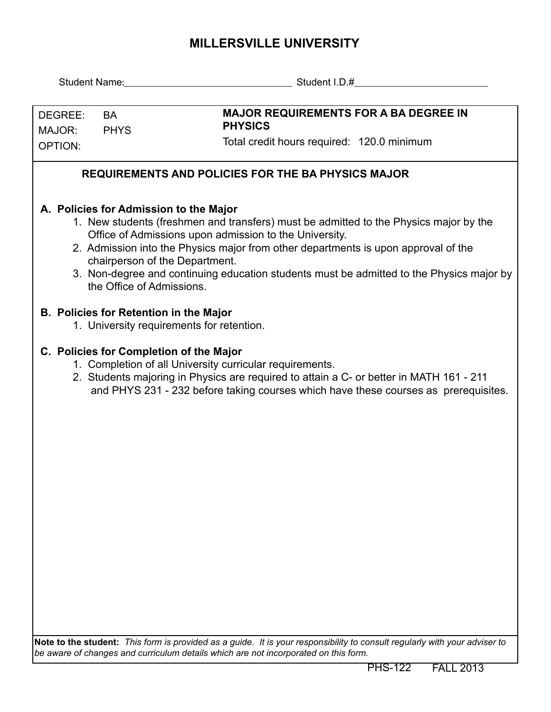## **MILLERSVILLE UNIVERSITY**

|                                                                                                                                                                                                                                                                                                                                                                                                                                            |                          | Student Name: Name and Name and Name and Name and Name and Name and Name and Name and Name and Name and Name and N                                                                                                                                                                    |  |  |  |  |  |
|--------------------------------------------------------------------------------------------------------------------------------------------------------------------------------------------------------------------------------------------------------------------------------------------------------------------------------------------------------------------------------------------------------------------------------------------|--------------------------|---------------------------------------------------------------------------------------------------------------------------------------------------------------------------------------------------------------------------------------------------------------------------------------|--|--|--|--|--|
| DEGREE:<br>MAJOR:<br>OPTION:                                                                                                                                                                                                                                                                                                                                                                                                               | <b>BA</b><br><b>PHYS</b> | <b>MAJOR REQUIREMENTS FOR A BA DEGREE IN</b><br><b>PHYSICS</b><br>Total credit hours required: 120.0 minimum                                                                                                                                                                          |  |  |  |  |  |
| <b>REQUIREMENTS AND POLICIES FOR THE BA PHYSICS MAJOR</b>                                                                                                                                                                                                                                                                                                                                                                                  |                          |                                                                                                                                                                                                                                                                                       |  |  |  |  |  |
| A. Policies for Admission to the Major<br>1. New students (freshmen and transfers) must be admitted to the Physics major by the<br>Office of Admissions upon admission to the University.<br>2. Admission into the Physics major from other departments is upon approval of the<br>chairperson of the Department.<br>3. Non-degree and continuing education students must be admitted to the Physics major by<br>the Office of Admissions. |                          |                                                                                                                                                                                                                                                                                       |  |  |  |  |  |
| <b>B. Policies for Retention in the Major</b><br>1. University requirements for retention.                                                                                                                                                                                                                                                                                                                                                 |                          |                                                                                                                                                                                                                                                                                       |  |  |  |  |  |
|                                                                                                                                                                                                                                                                                                                                                                                                                                            |                          | C. Policies for Completion of the Major<br>1. Completion of all University curricular requirements.<br>2. Students majoring in Physics are required to attain a C- or better in MATH 161 - 211<br>and PHYS 231 - 232 before taking courses which have these courses as prerequisites. |  |  |  |  |  |
|                                                                                                                                                                                                                                                                                                                                                                                                                                            |                          | Note to the student: This form is provided as a quide. It is your responsibility to consult reqularly with your adviser to                                                                                                                                                            |  |  |  |  |  |

**Note to the student:** *This form is provided as a guide. It is your responsibility to consult regularly with your adviser to be aware of changes and curriculum details which are not incorporated on this form.*